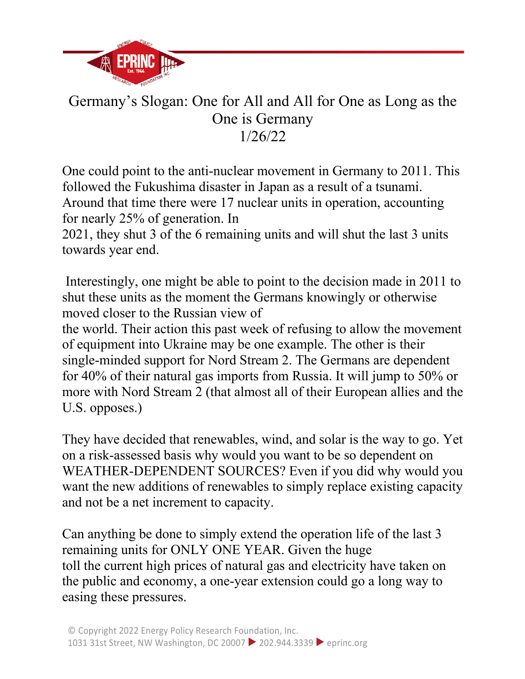

## Germany's Slogan: One for All and All for One as Long as the One is Germany 1/26/22

One could point to the anti-nuclear movement in Germany to 2011. This followed the Fukushima disaster in Japan as a result of a tsunami. Around that time there were 17 nuclear units in operation, accounting for nearly 25% of generation. In

2021, they shut 3 of the 6 remaining units and will shut the last 3 units towards year end.

Interestingly, one might be able to point to the decision made in 2011 to shut these units as the moment the Germans knowingly or otherwise moved closer to the Russian view of

the world. Their action this past week of refusing to allow the movement of equipment into Ukraine may be one example. The other is their single-minded support for Nord Stream 2. The Germans are dependent for 40% of their natural gas imports from Russia. It will jump to 50% or more with Nord Stream 2 (that almost all of their European allies and the U.S. opposes.)

They have decided that renewables, wind, and solar is the way to go. Yet on a risk-assessed basis why would you want to be so dependent on WEATHER-DEPENDENT SOURCES? Even if you did why would you want the new additions of renewables to simply replace existing capacity and not be a net increment to capacity.

Can anything be done to simply extend the operation life of the last 3 remaining units for ONLY ONE YEAR. Given the huge toll the current high prices of natural gas and electricity have taken on the public and economy, a one-year extension could go a long way to easing these pressures.